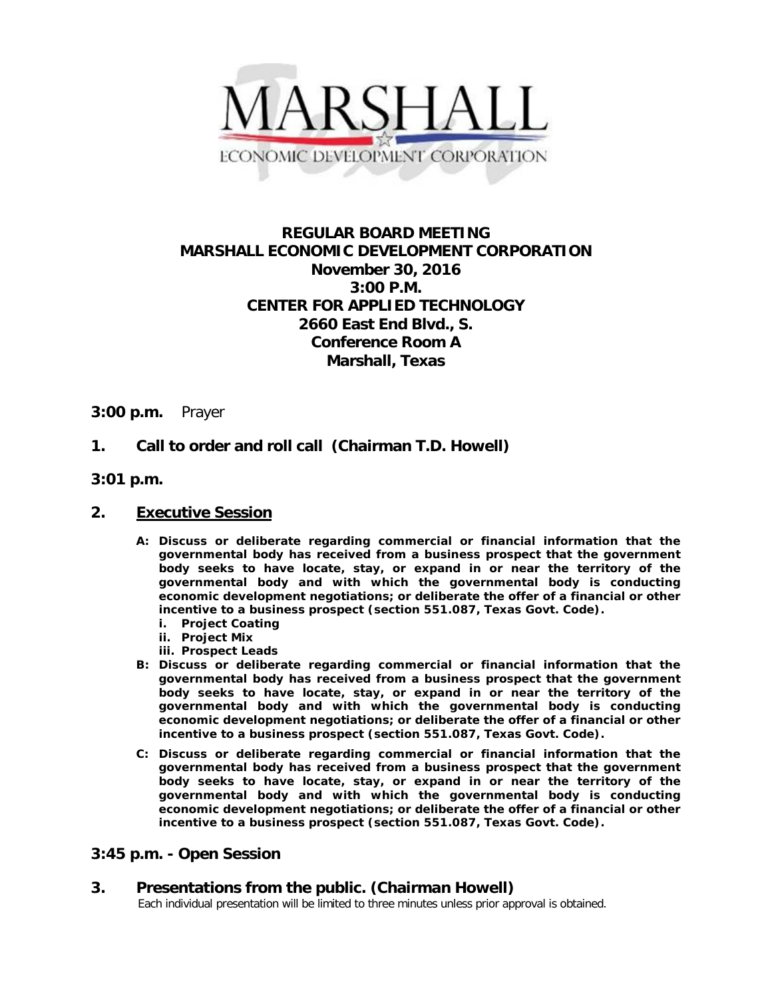

# **REGULAR BOARD MEETING MARSHALL ECONOMIC DEVELOPMENT CORPORATION November 30, 2016 3:00 P.M. CENTER FOR APPLIED TECHNOLOGY 2660 East End Blvd., S. Conference Room A Marshall, Texas**

### **3:00 p.m.** Prayer

### **1. Call to order and roll call (Chairman T.D. Howell)**

**3:01 p.m.**

#### **2. Executive Session**

- **A: Discuss or deliberate regarding commercial or financial information that the governmental body has received from a business prospect that the government body seeks to have locate, stay, or expand in or near the territory of the governmental body and with which the governmental body is conducting economic development negotiations; or deliberate the offer of a financial or other incentive to a business prospect (section 551.087, Texas Govt. Code).**
	- **i. Project Coating**
	- **ii. Project Mix**
	- **iii. Prospect Leads**
- **B: Discuss or deliberate regarding commercial or financial information that the governmental body has received from a business prospect that the government body seeks to have locate, stay, or expand in or near the territory of the governmental body and with which the governmental body is conducting economic development negotiations; or deliberate the offer of a financial or other incentive to a business prospect (section 551.087, Texas Govt. Code).**
- **C: Discuss or deliberate regarding commercial or financial information that the governmental body has received from a business prospect that the government body seeks to have locate, stay, or expand in or near the territory of the governmental body and with which the governmental body is conducting economic development negotiations; or deliberate the offer of a financial or other incentive to a business prospect (section 551.087, Texas Govt. Code).**

### **3:45 p.m. - Open Session**

# **3. Presentations from the public. (Chairman Howell)**<br>Each individual presentation will be limited to three minutes unless prior approval is obtained.